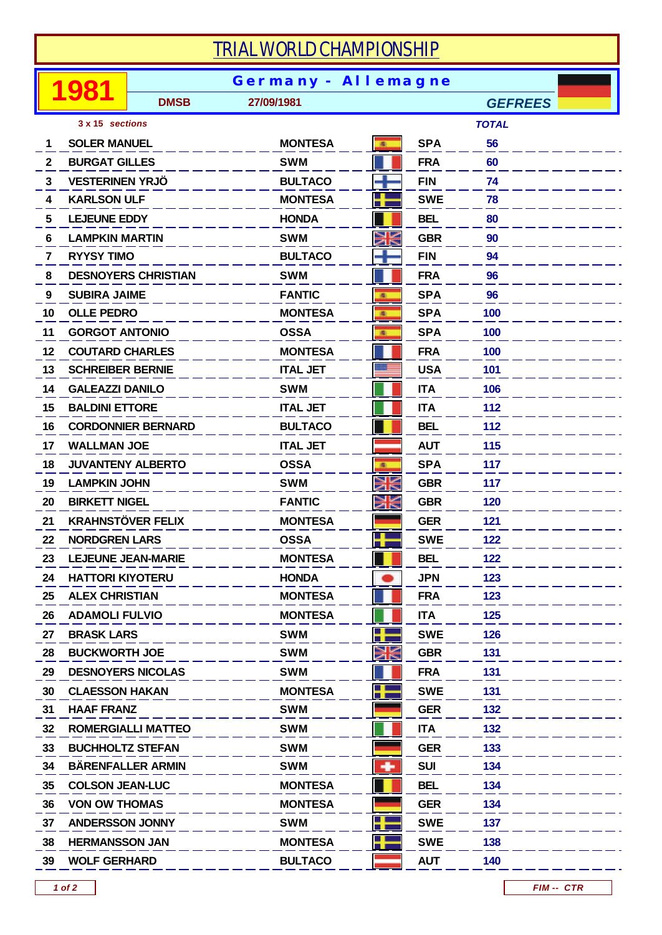## *TRIAL WORLD CHAMPIONSHIP*

|              |                            | <b>Germany - Allemagne</b> |                 |   |            |                |  |  |  |
|--------------|----------------------------|----------------------------|-----------------|---|------------|----------------|--|--|--|
|              |                            | <b>DMSB</b>                | 27/09/1981      |   |            | <b>GEFREES</b> |  |  |  |
|              | 3 x 15 sections            |                            |                 |   |            | <b>TOTAL</b>   |  |  |  |
| 1            | <b>SOLER MANUEL</b>        |                            | <b>MONTESA</b>  | 風 | <b>SPA</b> | 56             |  |  |  |
| $\mathbf{2}$ | <b>BURGAT GILLES</b>       |                            | <b>SWM</b>      |   | <b>FRA</b> | 60             |  |  |  |
| 3            | <b>VESTERINEN YRJÖ</b>     |                            | <b>BULTACO</b>  |   | <b>FIN</b> | 74             |  |  |  |
| 4            | <b>KARLSON ULF</b>         |                            | <b>MONTESA</b>  | 4 | <b>SWE</b> | 78             |  |  |  |
| 5            | <b>LEJEUNE EDDY</b>        |                            | <b>HONDA</b>    |   | <b>BEL</b> | 80             |  |  |  |
| 6            | <b>LAMPKIN MARTIN</b>      |                            | <b>SWM</b>      | Ж | <b>GBR</b> | 90             |  |  |  |
| 7            | <b>RYYSY TIMO</b>          |                            | <b>BULTACO</b>  |   | <b>FIN</b> | 94             |  |  |  |
| 8            | <b>DESNOYERS CHRISTIAN</b> |                            | <b>SWM</b>      |   | <b>FRA</b> | 96             |  |  |  |
| 9            | <b>SUBIRA JAIME</b>        |                            | <b>FANTIC</b>   | 画 | <b>SPA</b> | 96             |  |  |  |
| 10           | <b>OLLE PEDRO</b>          |                            | <b>MONTESA</b>  | 風 | <b>SPA</b> | 100            |  |  |  |
| 11           | <b>GORGOT ANTONIO</b>      |                            | <b>OSSA</b>     | 風 | <b>SPA</b> | 100            |  |  |  |
| 12           | <b>COUTARD CHARLES</b>     |                            | <b>MONTESA</b>  |   | <b>FRA</b> | 100            |  |  |  |
| 13           | <b>SCHREIBER BERNIE</b>    |                            | <b>ITAL JET</b> |   | <b>USA</b> | 101            |  |  |  |
| 14           | <b>GALEAZZI DANILO</b>     |                            | <b>SWM</b>      |   | <b>ITA</b> | 106            |  |  |  |
| 15           | <b>BALDINI ETTORE</b>      |                            | <b>ITAL JET</b> |   | <b>ITA</b> | 112            |  |  |  |
| 16           |                            | <b>CORDONNIER BERNARD</b>  | <b>BULTACO</b>  |   | <b>BEL</b> | 112            |  |  |  |
| 17           | <b>WALLMAN JOE</b>         |                            | <b>ITAL JET</b> |   | <b>AUT</b> | 115            |  |  |  |
| 18           | <b>JUVANTENY ALBERTO</b>   |                            | <b>OSSA</b>     | 画 | <b>SPA</b> | 117            |  |  |  |
| 19           | <b>LAMPKIN JOHN</b>        |                            | <b>SWM</b>      | Ж | <b>GBR</b> | 117            |  |  |  |
| 20           | <b>BIRKETT NIGEL</b>       |                            | <b>FANTIC</b>   | Ж | <b>GBR</b> | 120            |  |  |  |
| 21           | <b>KRAHNSTÖVER FELIX</b>   |                            | <b>MONTESA</b>  |   | <b>GER</b> | 121            |  |  |  |
| 22           | <b>NORDGREN LARS</b>       |                            | <b>OSSA</b>     | ۳ | <b>SWE</b> | 122            |  |  |  |
| 23           |                            | <b>LEJEUNE JEAN-MARIE</b>  | <b>MONTESA</b>  |   | <b>BEL</b> | 122            |  |  |  |
| 24           | <b>HATTORI KIYOTERU</b>    |                            | <b>HONDA</b>    |   | <b>JPN</b> | 123            |  |  |  |
| 25           | <b>ALEX CHRISTIAN</b>      |                            | <b>MONTESA</b>  |   | <b>FRA</b> | 123            |  |  |  |
| 26           | <b>ADAMOLI FULVIO</b>      |                            | <b>MONTESA</b>  |   | <b>ITA</b> | 125            |  |  |  |
| 27           | <b>BRASK LARS</b>          |                            | <b>SWM</b>      | ٢ | <b>SWE</b> | 126            |  |  |  |
| 28           | <b>BUCKWORTH JOE</b>       |                            | <b>SWM</b>      | Ж | <b>GBR</b> | 131            |  |  |  |
| 29           |                            | <b>DESNOYERS NICOLAS</b>   | <b>SWM</b>      |   | <b>FRA</b> | 131            |  |  |  |
| 30           | <b>CLAESSON HAKAN</b>      |                            | <b>MONTESA</b>  | ł | <b>SWE</b> | 131            |  |  |  |
| 31           | <b>HAAF FRANZ</b>          |                            | <b>SWM</b>      |   | <b>GER</b> | 132            |  |  |  |
| 32           |                            | <b>ROMERGIALLI MATTEO</b>  | <b>SWM</b>      |   | <b>ITA</b> | 132            |  |  |  |
| 33           | <b>BUCHHOLTZ STEFAN</b>    |                            | <b>SWM</b>      |   | <b>GER</b> | 133            |  |  |  |
| 34           |                            | <b>BÄRENFALLER ARMIN</b>   | <b>SWM</b>      | ۰ | <b>SUI</b> | 134            |  |  |  |
| 35           | <b>COLSON JEAN-LUC</b>     |                            | <b>MONTESA</b>  |   | <b>BEL</b> | 134            |  |  |  |
| 36           | <b>VON OW THOMAS</b>       |                            | <b>MONTESA</b>  |   | <b>GER</b> | 134            |  |  |  |
| 37           | <b>ANDERSSON JONNY</b>     |                            | <b>SWM</b>      | ╉ | <b>SWE</b> | 137            |  |  |  |
| 38           | <b>HERMANSSON JAN</b>      |                            | <b>MONTESA</b>  | ۲ | <b>SWE</b> | 138            |  |  |  |
| 39           | <b>WOLF GERHARD</b>        |                            | <b>BULTACO</b>  |   | <b>AUT</b> | 140            |  |  |  |